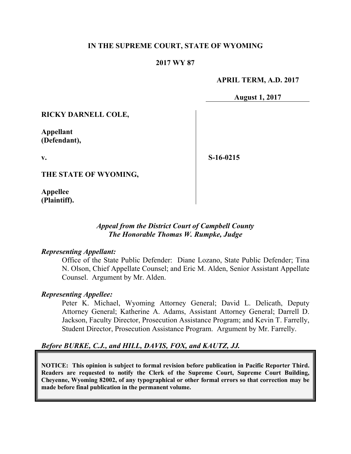#### **IN THE SUPREME COURT, STATE OF WYOMING**

### **2017 WY 87**

#### **APRIL TERM, A.D. 2017**

**August 1, 2017**

**RICKY DARNELL COLE,**

**Appellant (Defendant),**

**v.**

**S-16-0215**

**THE STATE OF WYOMING,**

**Appellee (Plaintiff).**

# *Appeal from the District Court of Campbell County The Honorable Thomas W. Rumpke, Judge*

#### *Representing Appellant:*

Office of the State Public Defender: Diane Lozano, State Public Defender; Tina N. Olson, Chief Appellate Counsel; and Eric M. Alden, Senior Assistant Appellate Counsel. Argument by Mr. Alden.

#### *Representing Appellee:*

Peter K. Michael, Wyoming Attorney General; David L. Delicath, Deputy Attorney General; Katherine A. Adams, Assistant Attorney General; Darrell D. Jackson, Faculty Director, Prosecution Assistance Program; and Kevin T. Farrelly, Student Director, Prosecution Assistance Program. Argument by Mr. Farrelly.

## *Before BURKE, C.J., and HILL, DAVIS, FOX, and KAUTZ, JJ.*

**NOTICE: This opinion is subject to formal revision before publication in Pacific Reporter Third. Readers are requested to notify the Clerk of the Supreme Court, Supreme Court Building, Cheyenne, Wyoming 82002, of any typographical or other formal errors so that correction may be made before final publication in the permanent volume.**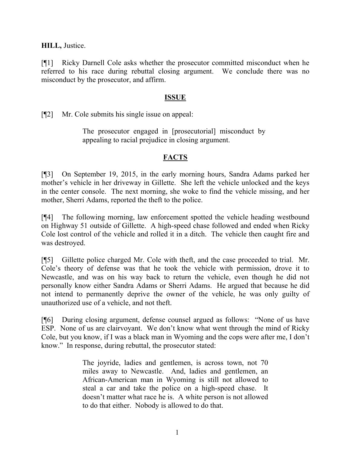**HILL,** Justice.

[¶1] Ricky Darnell Cole asks whether the prosecutor committed misconduct when he referred to his race during rebuttal closing argument. We conclude there was no misconduct by the prosecutor, and affirm.

# **ISSUE**

[¶2] Mr. Cole submits his single issue on appeal:

The prosecutor engaged in [prosecutorial] misconduct by appealing to racial prejudice in closing argument.

# **FACTS**

[¶3] On September 19, 2015, in the early morning hours, Sandra Adams parked her mother's vehicle in her driveway in Gillette. She left the vehicle unlocked and the keys in the center console. The next morning, she woke to find the vehicle missing, and her mother, Sherri Adams, reported the theft to the police.

[¶4] The following morning, law enforcement spotted the vehicle heading westbound on Highway 51 outside of Gillette. A high-speed chase followed and ended when Ricky Cole lost control of the vehicle and rolled it in a ditch. The vehicle then caught fire and was destroyed.

[¶5] Gillette police charged Mr. Cole with theft, and the case proceeded to trial. Mr. Cole's theory of defense was that he took the vehicle with permission, drove it to Newcastle, and was on his way back to return the vehicle, even though he did not personally know either Sandra Adams or Sherri Adams. He argued that because he did not intend to permanently deprive the owner of the vehicle, he was only guilty of unauthorized use of a vehicle, and not theft.

[¶6] During closing argument, defense counsel argued as follows: "None of us have ESP. None of us are clairvoyant. We don't know what went through the mind of Ricky Cole, but you know, if I was a black man in Wyoming and the cops were after me, I don't know." In response, during rebuttal, the prosecutor stated:

> The joyride, ladies and gentlemen, is across town, not 70 miles away to Newcastle. And, ladies and gentlemen, an African-American man in Wyoming is still not allowed to steal a car and take the police on a high-speed chase. It doesn't matter what race he is. A white person is not allowed to do that either. Nobody is allowed to do that.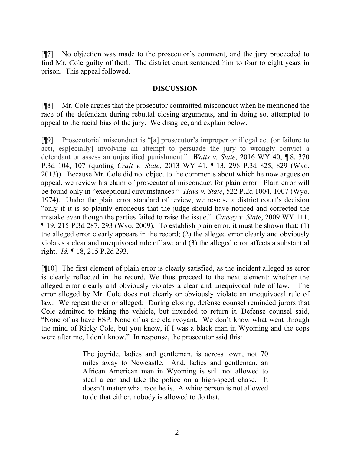[¶7] No objection was made to the prosecutor's comment, and the jury proceeded to find Mr. Cole guilty of theft. The district court sentenced him to four to eight years in prison. This appeal followed.

### **DISCUSSION**

[¶8] Mr. Cole argues that the prosecutor committed misconduct when he mentioned the race of the defendant during rebuttal closing arguments, and in doing so, attempted to appeal to the racial bias of the jury. We disagree, and explain below.

[¶9] Prosecutorial misconduct is "[a] prosecutor's improper or illegal act (or failure to act), esp[ecially] involving an attempt to persuade the jury to wrongly convict a defendant or assess an unjustified punishment." *Watts v. State*, 2016 WY 40, ¶ 8, 370 P.3d 104, 107 (quoting *Craft v. State*, 2013 WY 41, ¶ 13, 298 P.3d 825, 829 (Wyo. 2013)). Because Mr. Cole did not object to the comments about which he now argues on appeal, we review his claim of prosecutorial misconduct for plain error. Plain error will be found only in "exceptional circumstances." *Hays v. State*, 522 P.2d 1004, 1007 (Wyo. 1974). Under the plain error standard of review, we reverse a district court's decision "only if it is so plainly erroneous that the judge should have noticed and corrected the mistake even though the parties failed to raise the issue." *Causey v. State*, 2009 WY 111, ¶ 19, 215 P.3d 287, 293 (Wyo. 2009). To establish plain error, it must be shown that: (1) the alleged error clearly appears in the record; (2) the alleged error clearly and obviously violates a clear and unequivocal rule of law; and (3) the alleged error affects a substantial right. *Id.* ¶ 18, 215 P.2d 293.

[¶10] The first element of plain error is clearly satisfied, as the incident alleged as error is clearly reflected in the record. We thus proceed to the next element: whether the alleged error clearly and obviously violates a clear and unequivocal rule of law. The error alleged by Mr. Cole does not clearly or obviously violate an unequivocal rule of law. We repeat the error alleged: During closing, defense counsel reminded jurors that Cole admitted to taking the vehicle, but intended to return it. Defense counsel said, "None of us have ESP. None of us are clairvoyant. We don't know what went through the mind of Ricky Cole, but you know, if I was a black man in Wyoming and the cops were after me, I don't know." In response, the prosecutor said this:

> The joyride, ladies and gentleman, is across town, not 70 miles away to Newcastle. And, ladies and gentleman, an African American man in Wyoming is still not allowed to steal a car and take the police on a high-speed chase. It doesn't matter what race he is. A white person is not allowed to do that either, nobody is allowed to do that.